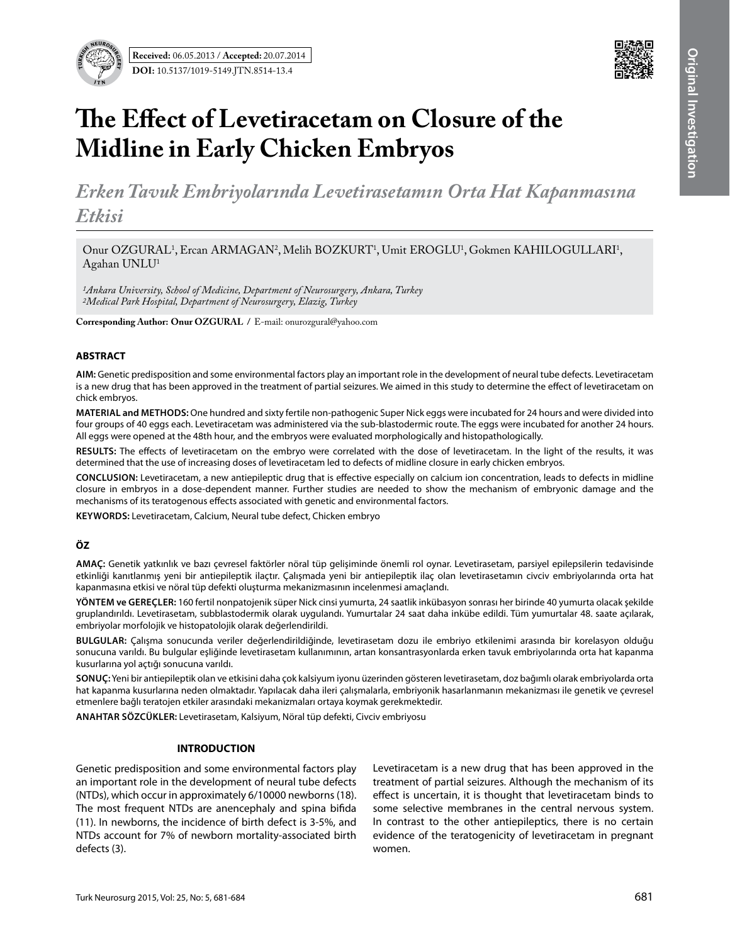



# **The Effect of Levetiracetam on Closure of the Midline in Early Chicken Embryos**

*Erken Tavuk Embriyolarında Levetirasetamın Orta Hat Kapanmasına Etkisi*

Onur OZGURAL<sup>1</sup>, Ercan ARMAGAN<sup>2</sup>, Melih BOZKURT<sup>1</sup>, Umit EROGLU<sup>1</sup>, Gokmen KAHILOGULLARI<sup>1</sup>, Agahan UNLU1

*1Ankara University, School of Medicine, Department of Neurosurgery, Ankara, Turkey 2Medical Park Hospital, Department of Neurosurgery, Elazig, Turkey*

**Corresponding Author: Onur OZGURAL /** E-mail: onurozgural@yahoo.com

## **ABSTRACT**

**AIm:** Genetic predisposition and some environmental factors play an important role in the development of neural tube defects. Levetiracetam is a new drug that has been approved in the treatment of partial seizures. We aimed in this study to determine the effect of levetiracetam on chick embryos.

**MaterIal and Methods:** One hundred and sixty fertile non-pathogenic Super Nick eggs were incubated for 24 hours and were divided into four groups of 40 eggs each. Levetiracetam was administered via the sub-blastodermic route. The eggs were incubated for another 24 hours. All eggs were opened at the 48th hour, and the embryos were evaluated morphologically and histopathologically.

**Results:** The effects of levetiracetam on the embryo were correlated with the dose of levetiracetam. In the light of the results, it was determined that the use of increasing doses of levetiracetam led to defects of midline closure in early chicken embryos.

**ConclusIon:** Levetiracetam, a new antiepileptic drug that is effective especially on calcium ion concentration, leads to defects in midline closure in embryos in a dose-dependent manner. Further studies are needed to show the mechanism of embryonic damage and the mechanisms of its teratogenous effects associated with genetic and environmental factors.

**Keywords:** Levetiracetam, Calcium, Neural tube defect, Chicken embryo

# **ÖZ**

**AMAÇ:** Genetik yatkınlık ve bazı çevresel faktörler nöral tüp gelişiminde önemli rol oynar. Levetirasetam, parsiyel epilepsilerin tedavisinde etkinliği kanıtlanmış yeni bir antiepileptik ilaçtır. Çalışmada yeni bir antiepileptik ilaç olan levetirasetamın civciv embriyolarında orta hat kapanmasına etkisi ve nöral tüp defekti oluşturma mekanizmasının incelenmesi amaçlandı.

**YÖNTEM ve GEREÇLER:** 160 fertil nonpatojenik süper Nick cinsi yumurta, 24 saatlik inkübasyon sonrası her birinde 40 yumurta olacak şekilde gruplandırıldı. Levetirasetam, subblastodermik olarak uygulandı. Yumurtalar 24 saat daha inkübe edildi. Tüm yumurtalar 48. saate açılarak, embriyolar morfolojik ve histopatolojik olarak değerlendirildi.

**BULGULAR:** Çalışma sonucunda veriler değerlendirildiğinde, levetirasetam dozu ile embriyo etkilenimi arasında bir korelasyon olduğu sonucuna varıldı. Bu bulgular eşliğinde levetirasetam kullanımının, artan konsantrasyonlarda erken tavuk embriyolarında orta hat kapanma kusurlarına yol açtığı sonucuna varıldı.

**SONUÇ:** Yeni bir antiepileptik olan ve etkisini daha çok kalsiyum iyonu üzerinden gösteren levetirasetam, doz bağımlı olarak embriyolarda orta hat kapanma kusurlarına neden olmaktadır. Yapılacak daha ileri çalışmalarla, embriyonik hasarlanmanın mekanizması ile genetik ve çevresel etmenlere bağlı teratojen etkiler arasındaki mekanizmaları ortaya koymak gerekmektedir.

**ANAHTAR SÖZCÜKLER:** Levetirasetam, Kalsiyum, Nöral tüp defekti, Civciv embriyosu

## **INTRODUCTION**

Genetic predisposition and some environmental factors play an important role in the development of neural tube defects (NTDs), which occur in approximately 6/10000 newborns (18). The most frequent NTDs are anencephaly and spina bifida (11). In newborns, the incidence of birth defect is 3-5%, and NTDs account for 7% of newborn mortality-associated birth defects (3).

Levetiracetam is a new drug that has been approved in the treatment of partial seizures. Although the mechanism of its effect is uncertain, it is thought that levetiracetam binds to some selective membranes in the central nervous system. In contrast to the other antiepileptics, there is no certain evidence of the teratogenicity of levetiracetam in pregnant women.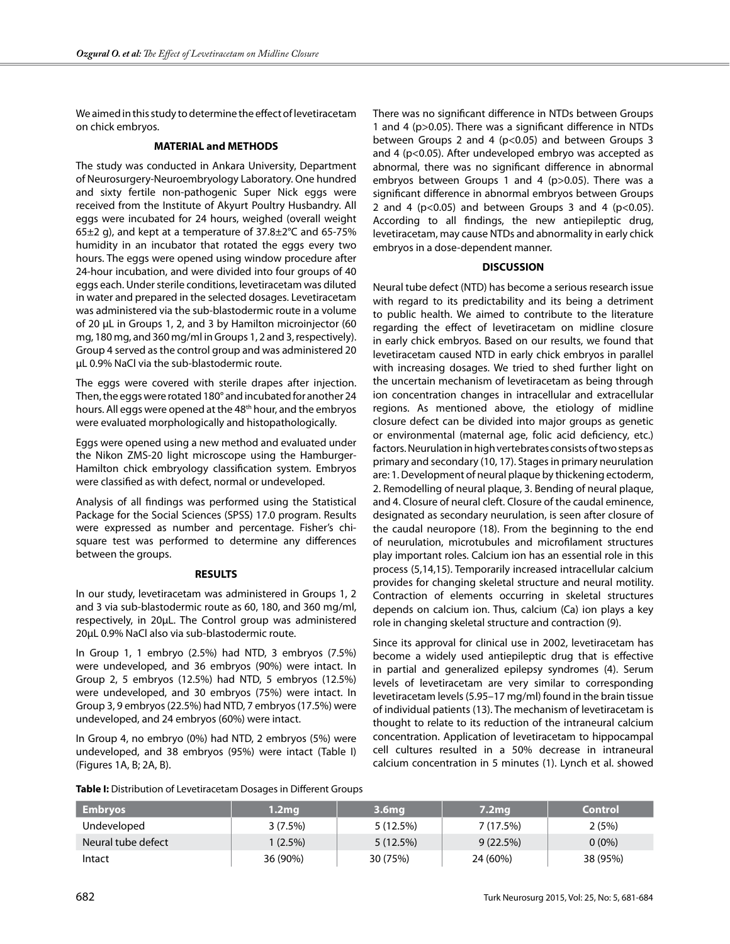We aimed in this study to determine the effect of levetiracetam on chick embryos.

#### **MATERIAL and METHODS**

The study was conducted in Ankara University, Department of Neurosurgery-Neuroembryology Laboratory. One hundred and sixty fertile non-pathogenic Super Nick eggs were received from the Institute of Akyurt Poultry Husbandry. All eggs were incubated for 24 hours, weighed (overall weight 65±2 g), and kept at a temperature of 37.8±2°C and 65-75% humidity in an incubator that rotated the eggs every two hours. The eggs were opened using window procedure after 24-hour incubation, and were divided into four groups of 40 eggs each. Under sterile conditions, levetiracetam was diluted in water and prepared in the selected dosages. Levetiracetam was administered via the sub-blastodermic route in a volume of 20 μL in Groups 1, 2, and 3 by Hamilton microinjector (60 mg, 180 mg, and 360 mg/ml in Groups 1, 2 and 3, respectively). Group 4 served as the control group and was administered 20 μL 0.9% NaCl via the sub-blastodermic route.

The eggs were covered with sterile drapes after injection. Then, the eggs were rotated 180° and incubated for another 24 hours. All eggs were opened at the 48<sup>th</sup> hour, and the embryos were evaluated morphologically and histopathologically.

Eggs were opened using a new method and evaluated under the Nikon ZMS-20 light microscope using the Hamburger-Hamilton chick embryology classification system. Embryos were classified as with defect, normal or undeveloped.

Analysis of all findings was performed using the Statistical Package for the Social Sciences (SPSS) 17.0 program. Results were expressed as number and percentage. Fisher's chisquare test was performed to determine any differences between the groups.

#### **RESULTS**

In our study, levetiracetam was administered in Groups 1, 2 and 3 via sub-blastodermic route as 60, 180, and 360 mg/ml, respectively, in 20μL. The Control group was administered 20μL 0.9% NaCl also via sub-blastodermic route.

In Group 1, 1 embryo (2.5%) had NTD, 3 embryos (7.5%) were undeveloped, and 36 embryos (90%) were intact. In Group 2, 5 embryos (12.5%) had NTD, 5 embryos (12.5%) were undeveloped, and 30 embryos (75%) were intact. In Group 3, 9 embryos (22.5%) had NTD, 7 embryos (17.5%) were undeveloped, and 24 embryos (60%) were intact.

In Group 4, no embryo (0%) had NTD, 2 embryos (5%) were undeveloped, and 38 embryos (95%) were intact (Table I) (Figures 1A, B; 2A, B).

There was no significant difference in NTDs between Groups 1 and 4 (p>0.05). There was a significant difference in NTDs between Groups 2 and 4 (p<0.05) and between Groups 3 and 4 (p<0.05). After undeveloped embryo was accepted as abnormal, there was no significant difference in abnormal embryos between Groups 1 and 4 (p>0.05). There was a significant difference in abnormal embryos between Groups 2 and 4 ( $p < 0.05$ ) and between Groups 3 and 4 ( $p < 0.05$ ). According to all findings, the new antiepileptic drug, levetiracetam, may cause NTDs and abnormality in early chick embryos in a dose-dependent manner.

## **DISCUSSION**

Neural tube defect (NTD) has become a serious research issue with regard to its predictability and its being a detriment to public health. We aimed to contribute to the literature regarding the effect of levetiracetam on midline closure in early chick embryos. Based on our results, we found that levetiracetam caused NTD in early chick embryos in parallel with increasing dosages. We tried to shed further light on the uncertain mechanism of levetiracetam as being through ion concentration changes in intracellular and extracellular regions. As mentioned above, the etiology of midline closure defect can be divided into major groups as genetic or environmental (maternal age, folic acid deficiency, etc.) factors. Neurulation in high vertebrates consists of two steps as primary and secondary (10, 17). Stages in primary neurulation are: 1. Development of neural plaque by thickening ectoderm, 2. Remodelling of neural plaque, 3. Bending of neural plaque, and 4. Closure of neural cleft. Closure of the caudal eminence, designated as secondary neurulation, is seen after closure of the caudal neuropore (18). From the beginning to the end of neurulation, microtubules and microfilament structures play important roles. Calcium ion has an essential role in this process (5,14,15). Temporarily increased intracellular calcium provides for changing skeletal structure and neural motility. Contraction of elements occurring in skeletal structures depends on calcium ion. Thus, calcium (Ca) ion plays a key role in changing skeletal structure and contraction (9).

Since its approval for clinical use in 2002, levetiracetam has become a widely used antiepileptic drug that is effective in partial and generalized epilepsy syndromes (4). Serum levels of levetiracetam are very similar to corresponding levetiracetam levels (5.95–17 mg/ml) found in the brain tissue of individual patients (13). The mechanism of levetiracetam is thought to relate to its reduction of the intraneural calcium concentration. Application of levetiracetam to hippocampal cell cultures resulted in a 50% decrease in intraneural calcium concentration in 5 minutes (1). Lynch et al. showed

**Table I:** Distribution of Levetiracetam Dosages in Different Groups

| <b>Embryos</b>     | 1.2mg      | 3.6 <sub>mq</sub> | 7.2 <sub>mq</sub> | Control  |
|--------------------|------------|-------------------|-------------------|----------|
| Undeveloped        | $3(7.5\%)$ | 5(12.5%)          | 7(17.5%)          | 2(5%)    |
| Neural tube defect | $1(2.5\%)$ | 5(12.5%)          | 9(22.5%)          | $0(0\%)$ |
| Intact             | 36 (90%)   | 30 (75%)          | 24 (60%)          | 38 (95%) |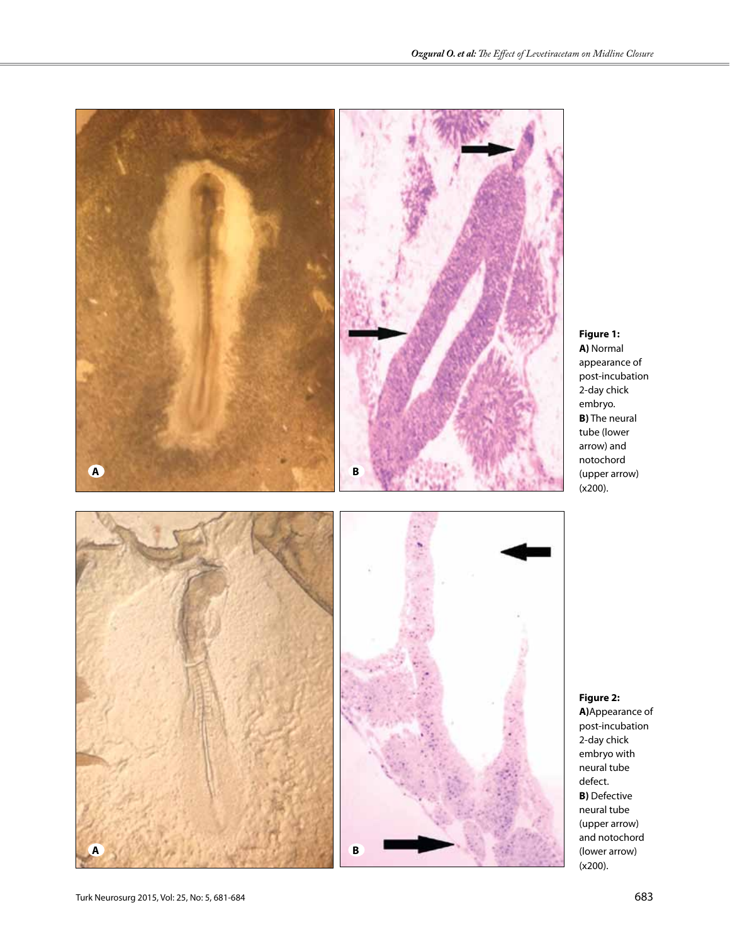









**A b**

**Figure 2:**

**A)**Appearance of post-incubation 2-day chick embryo with neural tube defect. **B)** Defective neural tube (upper arrow) and notochord (lower arrow) (x200).